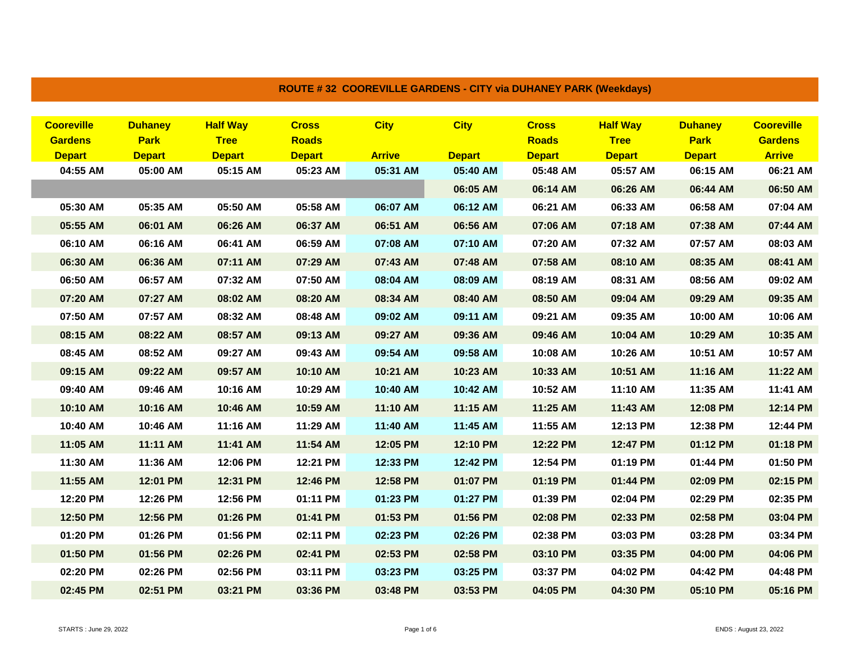| <b>Cooreville</b> | <b>Duhaney</b> | <b>Half Way</b> | <b>Cross</b>  | <b>City</b>   | <b>City</b>   | <b>Cross</b>  | <b>Half Way</b> | <b>Duhaney</b> | <b>Cooreville</b> |
|-------------------|----------------|-----------------|---------------|---------------|---------------|---------------|-----------------|----------------|-------------------|
| <b>Gardens</b>    | <b>Park</b>    | <b>Tree</b>     | <b>Roads</b>  |               |               | <b>Roads</b>  | <b>Tree</b>     | <b>Park</b>    | <b>Gardens</b>    |
| <b>Depart</b>     | <b>Depart</b>  | <b>Depart</b>   | <b>Depart</b> | <b>Arrive</b> | <b>Depart</b> | <b>Depart</b> | <b>Depart</b>   | <b>Depart</b>  | <b>Arrive</b>     |
| 04:55 AM          | 05:00 AM       | 05:15 AM        | 05:23 AM      | 05:31 AM      | 05:40 AM      | 05:48 AM      | 05:57 AM        | 06:15 AM       | 06:21 AM          |
|                   |                |                 |               |               | 06:05 AM      | 06:14 AM      | 06:26 AM        | 06:44 AM       | 06:50 AM          |
| 05:30 AM          | 05:35 AM       | 05:50 AM        | 05:58 AM      | 06:07 AM      | 06:12 AM      | 06:21 AM      | 06:33 AM        | 06:58 AM       | 07:04 AM          |
| 05:55 AM          | 06:01 AM       | 06:26 AM        | 06:37 AM      | 06:51 AM      | 06:56 AM      | 07:06 AM      | 07:18 AM        | 07:38 AM       | 07:44 AM          |
| 06:10 AM          | 06:16 AM       | 06:41 AM        | 06:59 AM      | 07:08 AM      | 07:10 AM      | 07:20 AM      | 07:32 AM        | 07:57 AM       | 08:03 AM          |
| 06:30 AM          | 06:36 AM       | 07:11 AM        | 07:29 AM      | 07:43 AM      | 07:48 AM      | 07:58 AM      | 08:10 AM        | 08:35 AM       | 08:41 AM          |
| 06:50 AM          | 06:57 AM       | 07:32 AM        | 07:50 AM      | 08:04 AM      | 08:09 AM      | 08:19 AM      | 08:31 AM        | 08:56 AM       | 09:02 AM          |
| 07:20 AM          | 07:27 AM       | 08:02 AM        | 08:20 AM      | 08:34 AM      | 08:40 AM      | 08:50 AM      | 09:04 AM        | 09:29 AM       | 09:35 AM          |
| 07:50 AM          | 07:57 AM       | 08:32 AM        | 08:48 AM      | 09:02 AM      | 09:11 AM      | 09:21 AM      | 09:35 AM        | 10:00 AM       | 10:06 AM          |
| 08:15 AM          | 08:22 AM       | 08:57 AM        | 09:13 AM      | 09:27 AM      | 09:36 AM      | 09:46 AM      | 10:04 AM        | 10:29 AM       | 10:35 AM          |
| 08:45 AM          | 08:52 AM       | 09:27 AM        | 09:43 AM      | 09:54 AM      | 09:58 AM      | 10:08 AM      | 10:26 AM        | 10:51 AM       | 10:57 AM          |
| 09:15 AM          | 09:22 AM       | 09:57 AM        | 10:10 AM      | 10:21 AM      | 10:23 AM      | 10:33 AM      | 10:51 AM        | 11:16 AM       | 11:22 AM          |
| 09:40 AM          | 09:46 AM       | 10:16 AM        | 10:29 AM      | 10:40 AM      | 10:42 AM      | 10:52 AM      | 11:10 AM        | 11:35 AM       | 11:41 AM          |
| 10:10 AM          | 10:16 AM       | 10:46 AM        | 10:59 AM      | 11:10 AM      | 11:15 AM      | 11:25 AM      | 11:43 AM        | 12:08 PM       | 12:14 PM          |
| 10:40 AM          | 10:46 AM       | 11:16 AM        | 11:29 AM      | 11:40 AM      | 11:45 AM      | 11:55 AM      | 12:13 PM        | 12:38 PM       | 12:44 PM          |
| 11:05 AM          | 11:11 AM       | 11:41 AM        | 11:54 AM      | 12:05 PM      | 12:10 PM      | 12:22 PM      | 12:47 PM        | 01:12 PM       | 01:18 PM          |
| 11:30 AM          | 11:36 AM       | 12:06 PM        | 12:21 PM      | 12:33 PM      | 12:42 PM      | 12:54 PM      | 01:19 PM        | 01:44 PM       | 01:50 PM          |
| 11:55 AM          | 12:01 PM       | 12:31 PM        | 12:46 PM      | 12:58 PM      | 01:07 PM      | 01:19 PM      | 01:44 PM        | 02:09 PM       | 02:15 PM          |
| 12:20 PM          | 12:26 PM       | 12:56 PM        | 01:11 PM      | 01:23 PM      | 01:27 PM      | 01:39 PM      | 02:04 PM        | 02:29 PM       | 02:35 PM          |
| 12:50 PM          | 12:56 PM       | 01:26 PM        | 01:41 PM      | 01:53 PM      | 01:56 PM      | 02:08 PM      | 02:33 PM        | 02:58 PM       | 03:04 PM          |
| 01:20 PM          | 01:26 PM       | 01:56 PM        | 02:11 PM      | 02:23 PM      | 02:26 PM      | 02:38 PM      | 03:03 PM        | 03:28 PM       | 03:34 PM          |
| 01:50 PM          | 01:56 PM       | 02:26 PM        | 02:41 PM      | 02:53 PM      | 02:58 PM      | 03:10 PM      | 03:35 PM        | 04:00 PM       | 04:06 PM          |
| 02:20 PM          | 02:26 PM       | 02:56 PM        | 03:11 PM      | 03:23 PM      | 03:25 PM      | 03:37 PM      | 04:02 PM        | 04:42 PM       | 04:48 PM          |
| 02:45 PM          | 02:51 PM       | 03:21 PM        | 03:36 PM      | 03:48 PM      | 03:53 PM      | 04:05 PM      | 04:30 PM        | 05:10 PM       | 05:16 PM          |

**ROUTE # 32 COOREVILLE GARDENS - CITY via DUHANEY PARK (Weekdays)**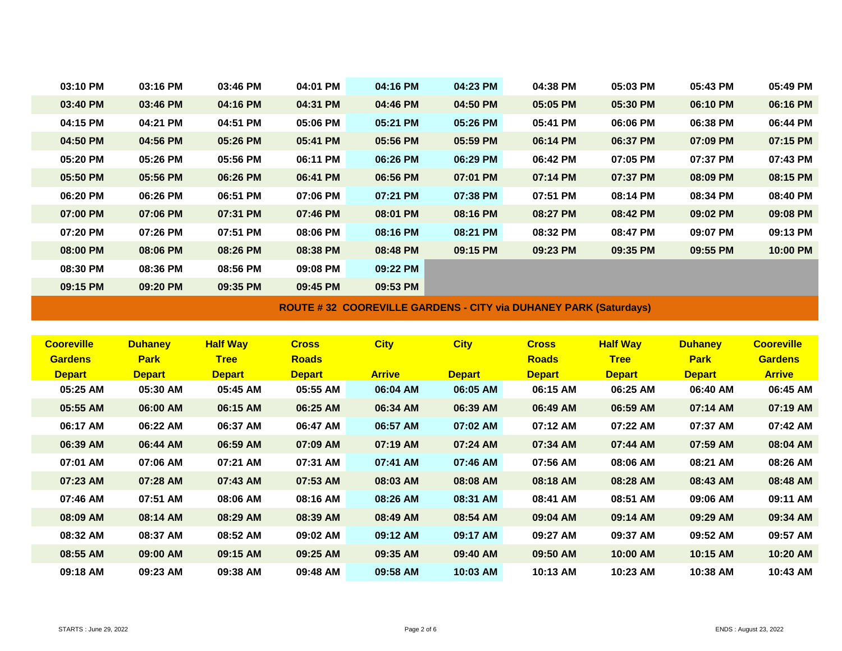| 03:10 PM          | 03:16 PM       | 03:46 PM        | 04:01 PM      | 04:16 PM                                                                | 04:23 PM      | 04:38 PM      | 05:03 PM        | 05:43 PM       | 05:49 PM          |
|-------------------|----------------|-----------------|---------------|-------------------------------------------------------------------------|---------------|---------------|-----------------|----------------|-------------------|
| 03:40 PM          | 03:46 PM       | 04:16 PM        | 04:31 PM      | 04:46 PM                                                                | 04:50 PM      | 05:05 PM      | 05:30 PM        | 06:10 PM       | 06:16 PM          |
| 04:15 PM          | 04:21 PM       | 04:51 PM        | 05:06 PM      | 05:21 PM                                                                | 05:26 PM      | 05:41 PM      | 06:06 PM        | 06:38 PM       | 06:44 PM          |
| 04:50 PM          | 04:56 PM       | 05:26 PM        | 05:41 PM      | 05:56 PM                                                                | 05:59 PM      | 06:14 PM      | 06:37 PM        | 07:09 PM       | 07:15 PM          |
| 05:20 PM          | 05:26 PM       | 05:56 PM        | 06:11 PM      | 06:26 PM                                                                | 06:29 PM      | 06:42 PM      | 07:05 PM        | 07:37 PM       | 07:43 PM          |
| 05:50 PM          | 05:56 PM       | 06:26 PM        | 06:41 PM      | 06:56 PM                                                                | 07:01 PM      | 07:14 PM      | 07:37 PM        | 08:09 PM       | 08:15 PM          |
| 06:20 PM          | 06:26 PM       | 06:51 PM        | 07:06 PM      | 07:21 PM                                                                | 07:38 PM      | 07:51 PM      | 08:14 PM        | 08:34 PM       | 08:40 PM          |
| 07:00 PM          | 07:06 PM       | 07:31 PM        | 07:46 PM      | 08:01 PM                                                                | 08:16 PM      | 08:27 PM      | 08:42 PM        | 09:02 PM       | 09:08 PM          |
| 07:20 PM          | 07:26 PM       | 07:51 PM        | 08:06 PM      | 08:16 PM                                                                | 08:21 PM      | 08:32 PM      | 08:47 PM        | 09:07 PM       | 09:13 PM          |
| 08:00 PM          | 08:06 PM       | 08:26 PM        | 08:38 PM      | 08:48 PM                                                                | 09:15 PM      | 09:23 PM      | 09:35 PM        | 09:55 PM       | 10:00 PM          |
| 08:30 PM          | 08:36 PM       | 08:56 PM        | 09:08 PM      | 09:22 PM                                                                |               |               |                 |                |                   |
| 09:15 PM          | 09:20 PM       | 09:35 PM        | 09:45 PM      | 09:53 PM                                                                |               |               |                 |                |                   |
|                   |                |                 |               | <b>ROUTE #32 COOREVILLE GARDENS - CITY via DUHANEY PARK (Saturdays)</b> |               |               |                 |                |                   |
|                   |                |                 |               |                                                                         |               |               |                 |                |                   |
|                   |                |                 |               |                                                                         |               |               |                 |                |                   |
| <b>Cooreville</b> | <b>Duhaney</b> | <b>Half Way</b> | <b>Cross</b>  | <b>City</b>                                                             | <b>City</b>   | <b>Cross</b>  | <b>Half Way</b> | <b>Duhaney</b> | <b>Cooreville</b> |
| <b>Gardens</b>    | <b>Park</b>    | <b>Tree</b>     | <b>Roads</b>  |                                                                         |               | <b>Roads</b>  | <b>Tree</b>     | <b>Park</b>    | <b>Gardens</b>    |
| <b>Depart</b>     | <b>Depart</b>  | <b>Depart</b>   | <b>Depart</b> | <b>Arrive</b>                                                           | <b>Depart</b> | <b>Depart</b> | <b>Depart</b>   | <b>Depart</b>  | <b>Arrive</b>     |
| 05:25 AM          | 05:30 AM       | 05:45 AM        | 05:55 AM      | 06:04 AM                                                                | 06:05 AM      | 06:15 AM      | 06:25 AM        | 06:40 AM       | 06:45 AM          |
| 05:55 AM          | 06:00 AM       | 06:15 AM        | 06:25 AM      | 06:34 AM                                                                | 06:39 AM      | 06:49 AM      | 06:59 AM        | 07:14 AM       | 07:19 AM          |
| 06:17 AM          | 06:22 AM       | 06:37 AM        | 06:47 AM      | 06:57 AM                                                                | 07:02 AM      | 07:12 AM      | 07:22 AM        | 07:37 AM       | 07:42 AM          |
| 06:39 AM          | 06:44 AM       | 06:59 AM        | 07:09 AM      | 07:19 AM                                                                | 07:24 AM      | 07:34 AM      | 07:44 AM        | 07:59 AM       | 08:04 AM          |
| 07:01 AM          | 07:06 AM       | 07:21 AM        | 07:31 AM      | 07:41 AM                                                                | 07:46 AM      | 07:56 AM      | 08:06 AM        | 08:21 AM       | 08:26 AM          |
| 07:23 AM          | 07:28 AM       | 07:43 AM        | 07:53 AM      | 08:03 AM                                                                | 08:08 AM      | 08:18 AM      | 08:28 AM        | 08:43 AM       | 08:48 AM          |
| 07:46 AM          | 07:51 AM       | 08:06 AM        | 08:16 AM      | 08:26 AM                                                                | 08:31 AM      | 08:41 AM      | 08:51 AM        | 09:06 AM       | 09:11 AM          |
| 08:09 AM          | 08:14 AM       | 08:29 AM        | 08:39 AM      | 08:49 AM                                                                | 08:54 AM      | 09:04 AM      | 09:14 AM        | 09:29 AM       | 09:34 AM          |
| 08:32 AM          | 08:37 AM       | 08:52 AM        | 09:02 AM      | 09:12 AM                                                                | 09:17 AM      | 09:27 AM      | 09:37 AM        | 09:52 AM       | 09:57 AM          |
| 08:55 AM          | 09:00 AM       | 09:15 AM        | 09:25 AM      | 09:35 AM                                                                | 09:40 AM      | 09:50 AM      | 10:00 AM        | 10:15 AM       | 10:20 AM          |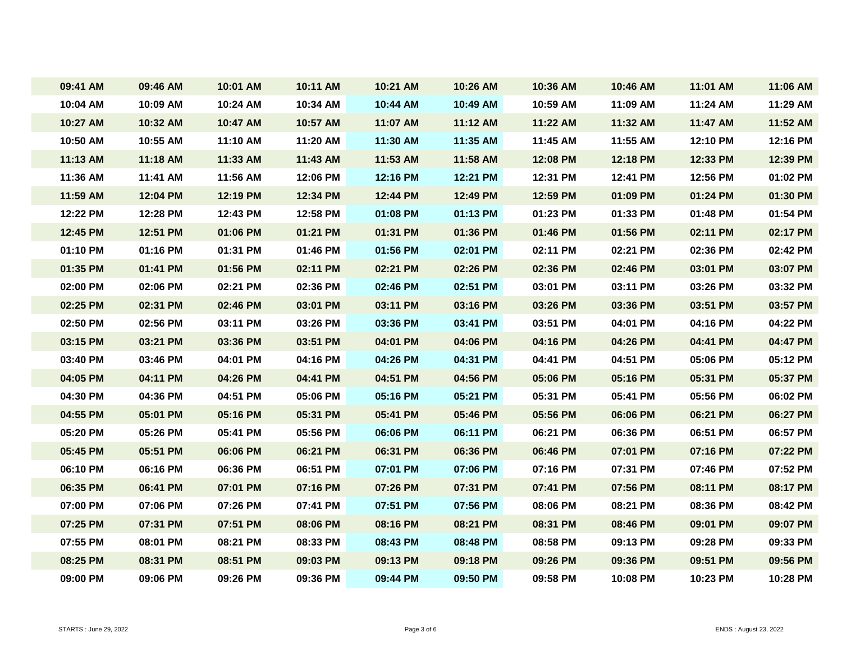| 09:41 AM | 09:46 AM | 10:01 AM | 10:11 AM | 10:21 AM | 10:26 AM | 10:36 AM | 10:46 AM | 11:01 AM | 11:06 AM |
|----------|----------|----------|----------|----------|----------|----------|----------|----------|----------|
| 10:04 AM | 10:09 AM | 10:24 AM | 10:34 AM | 10:44 AM | 10:49 AM | 10:59 AM | 11:09 AM | 11:24 AM | 11:29 AM |
| 10:27 AM | 10:32 AM | 10:47 AM | 10:57 AM | 11:07 AM | 11:12 AM | 11:22 AM | 11:32 AM | 11:47 AM | 11:52 AM |
| 10:50 AM | 10:55 AM | 11:10 AM | 11:20 AM | 11:30 AM | 11:35 AM | 11:45 AM | 11:55 AM | 12:10 PM | 12:16 PM |
| 11:13 AM | 11:18 AM | 11:33 AM | 11:43 AM | 11:53 AM | 11:58 AM | 12:08 PM | 12:18 PM | 12:33 PM | 12:39 PM |
| 11:36 AM | 11:41 AM | 11:56 AM | 12:06 PM | 12:16 PM | 12:21 PM | 12:31 PM | 12:41 PM | 12:56 PM | 01:02 PM |
| 11:59 AM | 12:04 PM | 12:19 PM | 12:34 PM | 12:44 PM | 12:49 PM | 12:59 PM | 01:09 PM | 01:24 PM | 01:30 PM |
| 12:22 PM | 12:28 PM | 12:43 PM | 12:58 PM | 01:08 PM | 01:13 PM | 01:23 PM | 01:33 PM | 01:48 PM | 01:54 PM |
| 12:45 PM | 12:51 PM | 01:06 PM | 01:21 PM | 01:31 PM | 01:36 PM | 01:46 PM | 01:56 PM | 02:11 PM | 02:17 PM |
| 01:10 PM | 01:16 PM | 01:31 PM | 01:46 PM | 01:56 PM | 02:01 PM | 02:11 PM | 02:21 PM | 02:36 PM | 02:42 PM |
| 01:35 PM | 01:41 PM | 01:56 PM | 02:11 PM | 02:21 PM | 02:26 PM | 02:36 PM | 02:46 PM | 03:01 PM | 03:07 PM |
| 02:00 PM | 02:06 PM | 02:21 PM | 02:36 PM | 02:46 PM | 02:51 PM | 03:01 PM | 03:11 PM | 03:26 PM | 03:32 PM |
| 02:25 PM | 02:31 PM | 02:46 PM | 03:01 PM | 03:11 PM | 03:16 PM | 03:26 PM | 03:36 PM | 03:51 PM | 03:57 PM |
| 02:50 PM | 02:56 PM | 03:11 PM | 03:26 PM | 03:36 PM | 03:41 PM | 03:51 PM | 04:01 PM | 04:16 PM | 04:22 PM |
| 03:15 PM | 03:21 PM | 03:36 PM | 03:51 PM | 04:01 PM | 04:06 PM | 04:16 PM | 04:26 PM | 04:41 PM | 04:47 PM |
| 03:40 PM | 03:46 PM | 04:01 PM | 04:16 PM | 04:26 PM | 04:31 PM | 04:41 PM | 04:51 PM | 05:06 PM | 05:12 PM |
| 04:05 PM | 04:11 PM | 04:26 PM | 04:41 PM | 04:51 PM | 04:56 PM | 05:06 PM | 05:16 PM | 05:31 PM | 05:37 PM |
| 04:30 PM | 04:36 PM | 04:51 PM | 05:06 PM | 05:16 PM | 05:21 PM | 05:31 PM | 05:41 PM | 05:56 PM | 06:02 PM |
| 04:55 PM | 05:01 PM | 05:16 PM | 05:31 PM | 05:41 PM | 05:46 PM | 05:56 PM | 06:06 PM | 06:21 PM | 06:27 PM |
| 05:20 PM | 05:26 PM | 05:41 PM | 05:56 PM | 06:06 PM | 06:11 PM | 06:21 PM | 06:36 PM | 06:51 PM | 06:57 PM |
| 05:45 PM | 05:51 PM | 06:06 PM | 06:21 PM | 06:31 PM | 06:36 PM | 06:46 PM | 07:01 PM | 07:16 PM | 07:22 PM |
| 06:10 PM | 06:16 PM | 06:36 PM | 06:51 PM | 07:01 PM | 07:06 PM | 07:16 PM | 07:31 PM | 07:46 PM | 07:52 PM |
| 06:35 PM | 06:41 PM | 07:01 PM | 07:16 PM | 07:26 PM | 07:31 PM | 07:41 PM | 07:56 PM | 08:11 PM | 08:17 PM |
| 07:00 PM | 07:06 PM | 07:26 PM | 07:41 PM | 07:51 PM | 07:56 PM | 08:06 PM | 08:21 PM | 08:36 PM | 08:42 PM |
| 07:25 PM | 07:31 PM | 07:51 PM | 08:06 PM | 08:16 PM | 08:21 PM | 08:31 PM | 08:46 PM | 09:01 PM | 09:07 PM |
| 07:55 PM | 08:01 PM | 08:21 PM | 08:33 PM | 08:43 PM | 08:48 PM | 08:58 PM | 09:13 PM | 09:28 PM | 09:33 PM |
| 08:25 PM | 08:31 PM | 08:51 PM | 09:03 PM | 09:13 PM | 09:18 PM | 09:26 PM | 09:36 PM | 09:51 PM | 09:56 PM |
| 09:00 PM | 09:06 PM | 09:26 PM | 09:36 PM | 09:44 PM | 09:50 PM | 09:58 PM | 10:08 PM | 10:23 PM | 10:28 PM |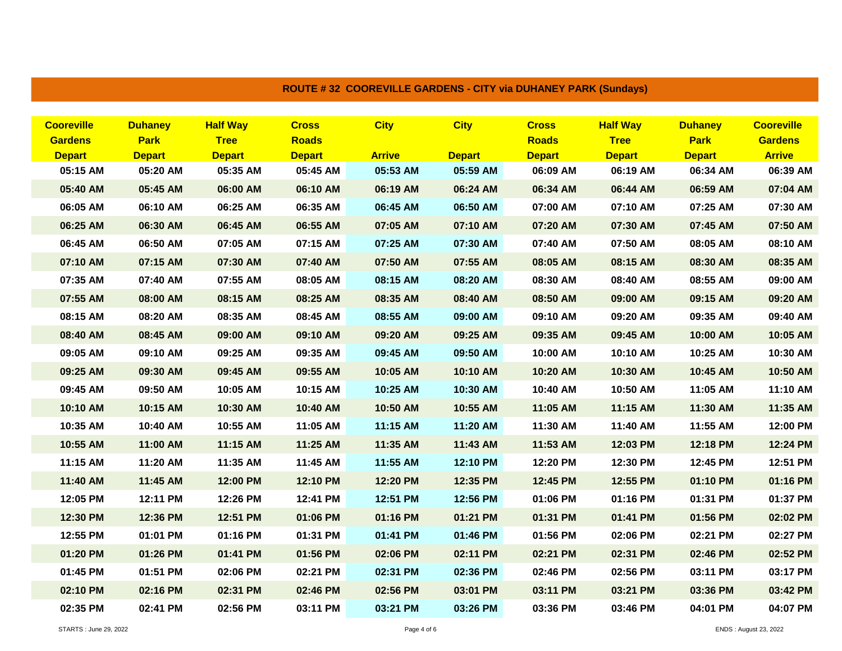| <b>Cooreville</b> | <b>Duhaney</b> | <b>Half Way</b> | <b>Cross</b>  | <b>City</b>   | <b>City</b>   | <b>Cross</b>  | <b>Half Way</b> | <b>Duhaney</b> | <b>Cooreville</b> |
|-------------------|----------------|-----------------|---------------|---------------|---------------|---------------|-----------------|----------------|-------------------|
| <b>Gardens</b>    | <b>Park</b>    | <b>Tree</b>     | <b>Roads</b>  |               |               | <b>Roads</b>  | <b>Tree</b>     | <b>Park</b>    | <b>Gardens</b>    |
| <b>Depart</b>     | <b>Depart</b>  | <b>Depart</b>   | <b>Depart</b> | <b>Arrive</b> | <b>Depart</b> | <b>Depart</b> | <b>Depart</b>   | <b>Depart</b>  | <b>Arrive</b>     |
| 05:15 AM          | 05:20 AM       | 05:35 AM        | 05:45 AM      | 05:53 AM      | 05:59 AM      | 06:09 AM      | 06:19 AM        | 06:34 AM       | 06:39 AM          |
| 05:40 AM          | 05:45 AM       | 06:00 AM        | 06:10 AM      | 06:19 AM      | 06:24 AM      | 06:34 AM      | 06:44 AM        | 06:59 AM       | 07:04 AM          |
| 06:05 AM          | 06:10 AM       | 06:25 AM        | 06:35 AM      | 06:45 AM      | 06:50 AM      | 07:00 AM      | 07:10 AM        | 07:25 AM       | 07:30 AM          |
| 06:25 AM          | 06:30 AM       | 06:45 AM        | 06:55 AM      | 07:05 AM      | 07:10 AM      | 07:20 AM      | 07:30 AM        | 07:45 AM       | 07:50 AM          |
| 06:45 AM          | 06:50 AM       | 07:05 AM        | 07:15 AM      | 07:25 AM      | 07:30 AM      | 07:40 AM      | 07:50 AM        | 08:05 AM       | 08:10 AM          |
| 07:10 AM          | 07:15 AM       | 07:30 AM        | 07:40 AM      | 07:50 AM      | 07:55 AM      | 08:05 AM      | 08:15 AM        | 08:30 AM       | 08:35 AM          |
| 07:35 AM          | 07:40 AM       | 07:55 AM        | 08:05 AM      | 08:15 AM      | 08:20 AM      | 08:30 AM      | 08:40 AM        | 08:55 AM       | 09:00 AM          |
| 07:55 AM          | 08:00 AM       | 08:15 AM        | 08:25 AM      | 08:35 AM      | 08:40 AM      | 08:50 AM      | 09:00 AM        | 09:15 AM       | 09:20 AM          |
| 08:15 AM          | 08:20 AM       | 08:35 AM        | 08:45 AM      | 08:55 AM      | 09:00 AM      | 09:10 AM      | 09:20 AM        | 09:35 AM       | 09:40 AM          |
| 08:40 AM          | 08:45 AM       | 09:00 AM        | 09:10 AM      | 09:20 AM      | 09:25 AM      | 09:35 AM      | 09:45 AM        | 10:00 AM       | 10:05 AM          |
| 09:05 AM          | 09:10 AM       | 09:25 AM        | 09:35 AM      | 09:45 AM      | 09:50 AM      | 10:00 AM      | 10:10 AM        | 10:25 AM       | 10:30 AM          |
| 09:25 AM          | 09:30 AM       | 09:45 AM        | 09:55 AM      | 10:05 AM      | 10:10 AM      | 10:20 AM      | 10:30 AM        | 10:45 AM       | 10:50 AM          |
| 09:45 AM          | 09:50 AM       | 10:05 AM        | 10:15 AM      | 10:25 AM      | 10:30 AM      | 10:40 AM      | 10:50 AM        | 11:05 AM       | 11:10 AM          |
| 10:10 AM          | 10:15 AM       | 10:30 AM        | 10:40 AM      | 10:50 AM      | 10:55 AM      | 11:05 AM      | 11:15 AM        | 11:30 AM       | 11:35 AM          |
| 10:35 AM          | 10:40 AM       | 10:55 AM        | 11:05 AM      | 11:15 AM      | 11:20 AM      | 11:30 AM      | 11:40 AM        | 11:55 AM       | 12:00 PM          |
| 10:55 AM          | 11:00 AM       | 11:15 AM        | 11:25 AM      | 11:35 AM      | 11:43 AM      | 11:53 AM      | 12:03 PM        | 12:18 PM       | 12:24 PM          |
| 11:15 AM          | 11:20 AM       | 11:35 AM        | 11:45 AM      | 11:55 AM      | 12:10 PM      | 12:20 PM      | 12:30 PM        | 12:45 PM       | 12:51 PM          |
| 11:40 AM          | 11:45 AM       | 12:00 PM        | 12:10 PM      | 12:20 PM      | 12:35 PM      | 12:45 PM      | 12:55 PM        | 01:10 PM       | 01:16 PM          |
| 12:05 PM          | 12:11 PM       | 12:26 PM        | 12:41 PM      | 12:51 PM      | 12:56 PM      | 01:06 PM      | 01:16 PM        | 01:31 PM       | 01:37 PM          |
| 12:30 PM          | 12:36 PM       | 12:51 PM        | 01:06 PM      | 01:16 PM      | 01:21 PM      | 01:31 PM      | 01:41 PM        | 01:56 PM       | 02:02 PM          |
| 12:55 PM          | 01:01 PM       | 01:16 PM        | 01:31 PM      | 01:41 PM      | 01:46 PM      | 01:56 PM      | 02:06 PM        | 02:21 PM       | 02:27 PM          |
| 01:20 PM          | 01:26 PM       | 01:41 PM        | 01:56 PM      | 02:06 PM      | 02:11 PM      | 02:21 PM      | 02:31 PM        | 02:46 PM       | 02:52 PM          |
| 01:45 PM          | 01:51 PM       | 02:06 PM        | 02:21 PM      | 02:31 PM      | 02:36 PM      | 02:46 PM      | 02:56 PM        | 03:11 PM       | 03:17 PM          |
| 02:10 PM          | 02:16 PM       | 02:31 PM        | 02:46 PM      | 02:56 PM      | 03:01 PM      | 03:11 PM      | 03:21 PM        | 03:36 PM       | 03:42 PM          |
| 02:35 PM          | 02:41 PM       | 02:56 PM        | 03:11 PM      | 03:21 PM      | 03:26 PM      | 03:36 PM      | 03:46 PM        | 04:01 PM       | 04:07 PM          |

## **ROUTE # 32 COOREVILLE GARDENS - CITY via DUHANEY PARK (Sundays)**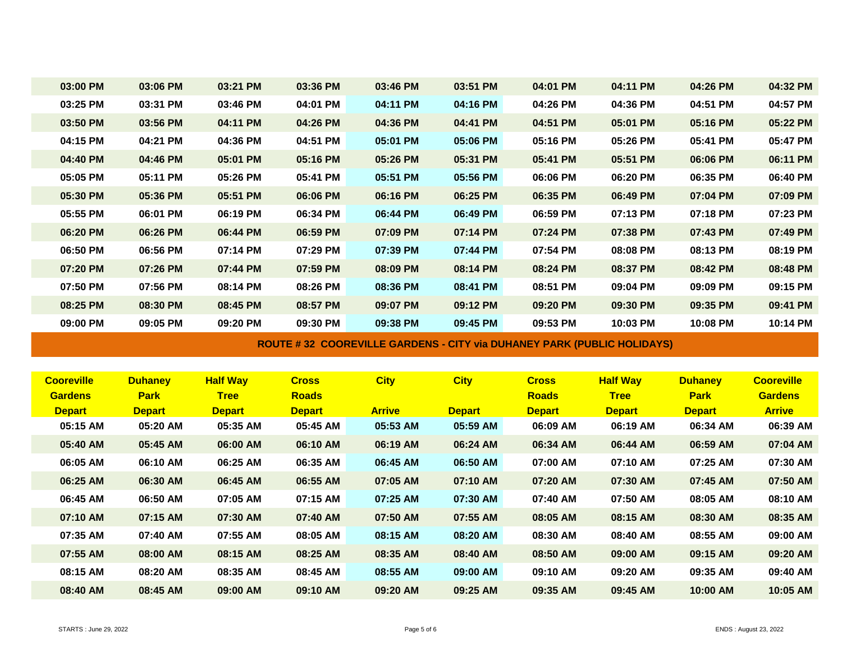| 03:00 PM          | 03:06 PM       | 03:21 PM        | 03:36 PM      | 03:46 PM                                                               | 03:51 PM      | 04:01 PM      | 04:11 PM        | 04:26 PM       | 04:32 PM          |
|-------------------|----------------|-----------------|---------------|------------------------------------------------------------------------|---------------|---------------|-----------------|----------------|-------------------|
| 03:25 PM          | 03:31 PM       | 03:46 PM        | 04:01 PM      | 04:11 PM                                                               | 04:16 PM      | 04:26 PM      | 04:36 PM        | 04:51 PM       | 04:57 PM          |
| 03:50 PM          | 03:56 PM       | 04:11 PM        | 04:26 PM      | 04:36 PM                                                               | 04:41 PM      | 04:51 PM      | 05:01 PM        | 05:16 PM       | 05:22 PM          |
| 04:15 PM          | 04:21 PM       | 04:36 PM        | 04:51 PM      | 05:01 PM                                                               | 05:06 PM      | 05:16 PM      | 05:26 PM        | 05:41 PM       | 05:47 PM          |
| 04:40 PM          | 04:46 PM       | 05:01 PM        | 05:16 PM      | 05:26 PM                                                               | 05:31 PM      | 05:41 PM      | 05:51 PM        | 06:06 PM       | 06:11 PM          |
| 05:05 PM          | 05:11 PM       | 05:26 PM        | 05:41 PM      | 05:51 PM                                                               | 05:56 PM      | 06:06 PM      | 06:20 PM        | 06:35 PM       | 06:40 PM          |
| 05:30 PM          | 05:36 PM       | 05:51 PM        | 06:06 PM      | 06:16 PM                                                               | 06:25 PM      | 06:35 PM      | 06:49 PM        | 07:04 PM       | 07:09 PM          |
| 05:55 PM          | 06:01 PM       | 06:19 PM        | 06:34 PM      | 06:44 PM                                                               | 06:49 PM      | 06:59 PM      | 07:13 PM        | 07:18 PM       | 07:23 PM          |
| 06:20 PM          | 06:26 PM       | 06:44 PM        | 06:59 PM      | 07:09 PM                                                               | 07:14 PM      | 07:24 PM      | 07:38 PM        | 07:43 PM       | 07:49 PM          |
| 06:50 PM          | 06:56 PM       | 07:14 PM        | 07:29 PM      | 07:39 PM                                                               | 07:44 PM      | 07:54 PM      | 08:08 PM        | 08:13 PM       | 08:19 PM          |
| 07:20 PM          | 07:26 PM       | 07:44 PM        | 07:59 PM      | 08:09 PM                                                               | 08:14 PM      | 08:24 PM      | 08:37 PM        | 08:42 PM       | 08:48 PM          |
| 07:50 PM          | 07:56 PM       | 08:14 PM        | 08:26 PM      | 08:36 PM                                                               | 08:41 PM      | 08:51 PM      | 09:04 PM        | 09:09 PM       | 09:15 PM          |
| 08:25 PM          | 08:30 PM       | 08:45 PM        | 08:57 PM      | 09:07 PM                                                               | 09:12 PM      | 09:20 PM      | 09:30 PM        | 09:35 PM       | 09:41 PM          |
| 09:00 PM          | 09:05 PM       | 09:20 PM        | 09:30 PM      | 09:38 PM                                                               | 09:45 PM      | 09:53 PM      | 10:03 PM        | 10:08 PM       | 10:14 PM          |
|                   |                |                 |               |                                                                        |               |               |                 |                |                   |
|                   |                |                 |               | ROUTE #32 COOREVILLE GARDENS - CITY via DUHANEY PARK (PUBLIC HOLIDAYS) |               |               |                 |                |                   |
|                   |                |                 |               |                                                                        |               |               |                 |                |                   |
| <b>Cooreville</b> | <b>Duhaney</b> | <b>Half Way</b> | <b>Cross</b>  | <b>City</b>                                                            | <b>City</b>   | <b>Cross</b>  | <b>Half Way</b> | <b>Duhaney</b> | <b>Cooreville</b> |
| <b>Gardens</b>    | <b>Park</b>    | <b>Tree</b>     | <b>Roads</b>  |                                                                        |               | <b>Roads</b>  | <b>Tree</b>     | <b>Park</b>    | <b>Gardens</b>    |
| <b>Depart</b>     | <b>Depart</b>  | <b>Depart</b>   | <b>Depart</b> | <b>Arrive</b>                                                          | <b>Depart</b> | <b>Depart</b> | <b>Depart</b>   | <b>Depart</b>  | <b>Arrive</b>     |
| 05:15 AM          | 05:20 AM       | 05:35 AM        | 05:45 AM      | 05:53 AM                                                               | 05:59 AM      | 06:09 AM      | 06:19 AM        | 06:34 AM       | 06:39 AM          |
| 05:40 AM          | 05:45 AM       | 06:00 AM        | 06:10 AM      | 06:19 AM                                                               | 06:24 AM      | 06:34 AM      | 06:44 AM        | 06:59 AM       | 07:04 AM          |
| 06:05 AM          | 06:10 AM       | 06:25 AM        | 06:35 AM      | 06:45 AM                                                               | 06:50 AM      | 07:00 AM      | 07:10 AM        | 07:25 AM       | 07:30 AM          |
| 06:25 AM          | 06:30 AM       | 06:45 AM        | 06:55 AM      | 07:05 AM                                                               | 07:10 AM      | 07:20 AM      | 07:30 AM        | 07:45 AM       | 07:50 AM          |
| 06:45 AM          | 06:50 AM       | 07:05 AM        | 07:15 AM      | 07:25 AM                                                               | 07:30 AM      | 07:40 AM      | 07:50 AM        | 08:05 AM       | 08:10 AM          |
| 07:10 AM          | 07:15 AM       | 07:30 AM        | 07:40 AM      | 07:50 AM                                                               | 07:55 AM      | 08:05 AM      | 08:15 AM        | 08:30 AM       | 08:35 AM          |
| 07:35 AM          | 07:40 AM       | 07:55 AM        | 08:05 AM      | 08:15 AM                                                               | 08:20 AM      | 08:30 AM      | 08:40 AM        | 08:55 AM       | 09:00 AM          |
| 07:55 AM          | 08:00 AM       | 08:15 AM        | 08:25 AM      | 08:35 AM                                                               | 08:40 AM      | 08:50 AM      | 09:00 AM        | 09:15 AM       | 09:20 AM          |
| 08:15 AM          | 08:20 AM       | 08:35 AM        | 08:45 AM      | 08:55 AM                                                               | 09:00 AM      | 09:10 AM      | 09:20 AM        | 09:35 AM       | 09:40 AM          |